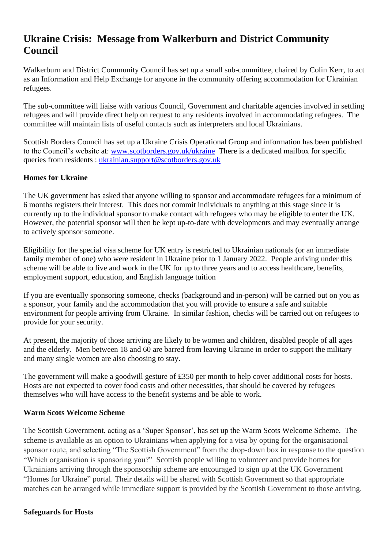# **Ukraine Crisis: Message from Walkerburn and District Community Council**

Walkerburn and District Community Council has set up a small sub-committee, chaired by Colin Kerr, to act as an Information and Help Exchange for anyone in the community offering accommodation for Ukrainian refugees.

The sub-committee will liaise with various Council, Government and charitable agencies involved in settling refugees and will provide direct help on request to any residents involved in accommodating refugees. The committee will maintain lists of useful contacts such as interpreters and local Ukrainians.

Scottish Borders Council has set up a Ukraine Crisis Operational Group and information has been published to the Council's website at: [www.scotborders.gov.uk/ukraine](about:blank) There is a dedicated mailbox for specific queries from residents : [ukrainian.support@scotborders.gov.uk](about:blank)

# **Homes for Ukraine**

The UK government has asked that anyone willing to sponsor and accommodate refugees for a minimum of 6 months registers their interest. This does not commit individuals to anything at this stage since it is currently up to the individual sponsor to make contact with refugees who may be eligible to enter the UK. However, the potential sponsor will then be kept up-to-date with developments and may eventually arrange to actively sponsor someone.

Eligibility for the special visa scheme for UK entry is restricted to Ukrainian nationals (or an immediate family member of one) who were resident in Ukraine prior to 1 January 2022. People arriving under this scheme will be able to live and work in the UK for up to three years and to access healthcare, benefits, employment support, education, and English language tuition

If you are eventually sponsoring someone, checks (background and in-person) will be carried out on you as a sponsor, your family and the accommodation that you will provide to ensure a safe and suitable environment for people arriving from Ukraine. In similar fashion, checks will be carried out on refugees to provide for your security.

At present, the majority of those arriving are likely to be women and children, disabled people of all ages and the elderly. Men between 18 and 60 are barred from leaving Ukraine in order to support the military and many single women are also choosing to stay.

The government will make a goodwill gesture of £350 per month to help cover additional costs for hosts. Hosts are not expected to cover food costs and other necessities, that should be covered by refugees themselves who will have access to the benefit systems and be able to work.

### **Warm Scots Welcome Scheme**

The Scottish Government, acting as a 'Super Sponsor', has set up the Warm Scots Welcome Scheme. The scheme is available as an option to Ukrainians when applying for a visa by opting for the organisational sponsor route, and selecting "The Scottish Government" from the drop-down box in response to the question "Which organisation is sponsoring you?" Scottish people willing to volunteer and provide homes for Ukrainians arriving through the sponsorship scheme are encouraged to sign up at the UK Government "Homes for Ukraine" portal. Their details will be shared with Scottish Government so that appropriate matches can be arranged while immediate support is provided by the Scottish Government to those arriving.

#### **Safeguards for Hosts**